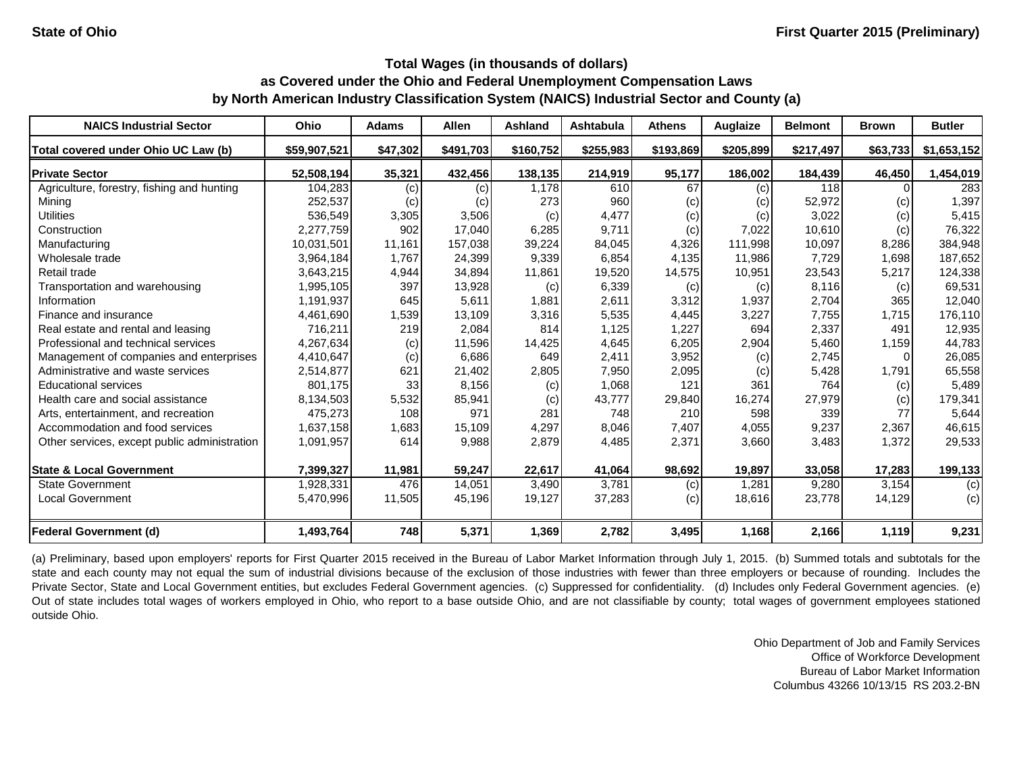| <b>NAICS Industrial Sector</b>               | <b>Ohio</b>  | <b>Adams</b> | <b>Allen</b> | <b>Ashland</b> | <b>Ashtabula</b> | <b>Athens</b> | Auglaize  | <b>Belmont</b> | <b>Brown</b>      | <b>Butler</b> |
|----------------------------------------------|--------------|--------------|--------------|----------------|------------------|---------------|-----------|----------------|-------------------|---------------|
| Total covered under Ohio UC Law (b)          | \$59,907,521 | \$47,302     | \$491,703    | \$160,752      | \$255,983        | \$193,869     | \$205,899 | \$217,497      | \$63,733          | \$1,653,152   |
| <b>Private Sector</b>                        | 52,508,194   | 35,321       | 432,456      | 138,135        | 214,919          | 95,177        | 186,002   | 184,439        | 46,450            | 1,454,019     |
| Agriculture, forestry, fishing and hunting   | 104,283      | (c)          | (c)          | 1.178          | 610              | 67            | (c)       | 118            |                   | 283           |
| Mining                                       | 252,537      | (c)          | (c)          | 273            | 960              | (c)           | (c)       | 52,972         | $\left( c\right)$ | 1,397         |
| <b>Utilities</b>                             | 536,549      | 3,305        | 3,506        | (c)            | 4,477            | (c)           | (c)       | 3,022          | (c)               | 5,415         |
| Construction                                 | 2,277,759    | 902          | 17,040       | 6,285          | 9,711            | (c)           | 7,022     | 10,610         | (c)               | 76,322        |
| Manufacturing                                | 10,031,501   | 11.161       | 157,038      | 39,224         | 84,045           | 4,326         | 111,998   | 10,097         | 8,286             | 384,948       |
| Wholesale trade                              | 3,964,184    | 1.767        | 24,399       | 9,339          | 6,854            | 4.135         | 11,986    | 7,729          | 1,698             | 187,652       |
| Retail trade                                 | 3,643,215    | 4,944        | 34,894       | 11,861         | 19,520           | 14,575        | 10,951    | 23,543         | 5,217             | 124,338       |
| Transportation and warehousing               | 1,995,105    | 397          | 13,928       | (c)            | 6,339            | (c)           | (c)       | 8,116          | (c)               | 69,531        |
| Information                                  | 1,191,937    | 645          | 5,611        | 1,881          | 2,611            | 3,312         | 1,937     | 2,704          | 365               | 12,040        |
| Finance and insurance                        | 4,461,690    | 1,539        | 13,109       | 3,316          | 5,535            | 4,445         | 3,227     | 7,755          | 1,715             | 176,110       |
| Real estate and rental and leasing           | 716,211      | 219          | 2,084        | 814            | 1,125            | 1,227         | 694       | 2,337          | 491               | 12,935        |
| Professional and technical services          | 4,267,634    | (c)          | 11,596       | 14,425         | 4,645            | 6,205         | 2,904     | 5,460          | 1,159             | 44,783        |
| Management of companies and enterprises      | 4,410,647    | (c)          | 6,686        | 649            | 2,411            | 3,952         | (c)       | 2,745          | $\Omega$          | 26,085        |
| Administrative and waste services            | 2,514,877    | 621          | 21,402       | 2,805          | 7,950            | 2,095         | (c)       | 5,428          | 1.791             | 65,558        |
| <b>Educational services</b>                  | 801.175      | 33           | 8,156        | (c)            | 1,068            | 121           | 361       | 764            | (c)               | 5,489         |
| Health care and social assistance            | 8,134,503    | 5,532        | 85,941       | (c)            | 43,777           | 29,840        | 16,274    | 27,979         | (c)               | 179,341       |
| Arts, entertainment, and recreation          | 475,273      | 108          | 971          | 281            | 748              | 210           | 598       | 339            | 77                | 5,644         |
| Accommodation and food services              | 1,637,158    | 1,683        | 15,109       | 4,297          | 8,046            | 7,407         | 4,055     | 9,237          | 2,367             | 46,615        |
| Other services, except public administration | 1,091,957    | 614          | 9,988        | 2,879          | 4,485            | 2,371         | 3,660     | 3,483          | 1,372             | 29,533        |
| <b>State &amp; Local Government</b>          | 7,399,327    | 11,981       | 59,247       | 22,617         | 41,064           | 98,692        | 19,897    | 33,058         | 17,283            | 199,133       |
| <b>State Government</b>                      | 1,928,331    | 476          | 14,051       | 3,490          | 3,781            | (c)           | 1,281     | 9,280          | 3,154             | (c)           |
| <b>Local Government</b>                      | 5,470,996    | 11,505       | 45,196       | 19,127         | 37,283           | (c)           | 18,616    | 23,778         | 14,129            | (c)           |
| <b>Federal Government (d)</b>                | 1,493,764    | 748          | 5,371        | 1,369          | 2,782            | 3,495         | 1,168     | 2,166          | 1,119             | 9,231         |

(a) Preliminary, based upon employers' reports for First Quarter 2015 received in the Bureau of Labor Market Information through July 1, 2015. (b) Summed totals and subtotals for the state and each county may not equal the sum of industrial divisions because of the exclusion of those industries with fewer than three employers or because of rounding. Includes the Private Sector, State and Local Government entities, but excludes Federal Government agencies. (c) Suppressed for confidentiality. (d) Includes only Federal Government agencies. (e) Out of state includes total wages of workers employed in Ohio, who report to a base outside Ohio, and are not classifiable by county; total wages of government employees stationed outside Ohio.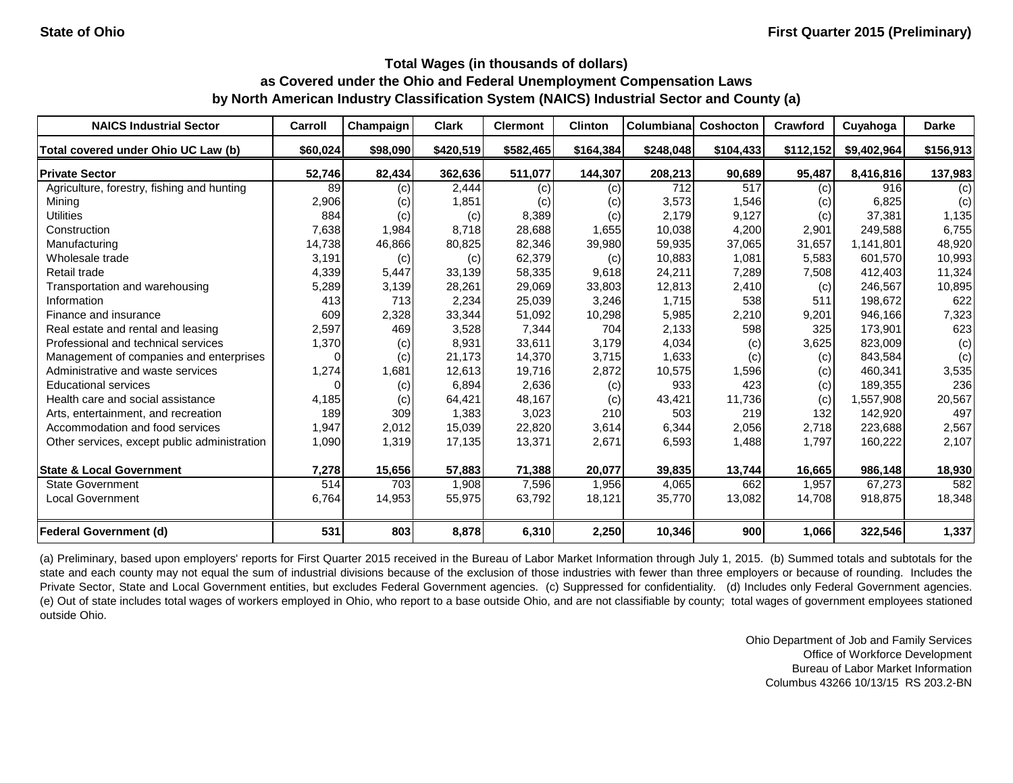| <b>NAICS Industrial Sector</b>               | Carroll  | Champaign | <b>Clark</b> | <b>Clermont</b> | <b>Clinton</b> | Columbiana | Coshocton | <b>Crawford</b> | Cuyahoga    | <b>Darke</b> |
|----------------------------------------------|----------|-----------|--------------|-----------------|----------------|------------|-----------|-----------------|-------------|--------------|
| Total covered under Ohio UC Law (b)          | \$60,024 | \$98,090  | \$420,519    | \$582,465       | \$164,384      | \$248,048  | \$104,433 | \$112,152       | \$9,402,964 | \$156,913    |
| <b>Private Sector</b>                        | 52,746   | 82,434    | 362,636      | 511,077         | 144,307        | 208,213    | 90,689    | 95,487          | 8,416,816   | 137,983      |
| Agriculture, forestry, fishing and hunting   | 89       | (c)       | 2,444        | (c)             | (c)            | 712        | 517       | (c)             | 916         | (c)          |
| Mining                                       | 2,906    | (c)       | 1,851        | (c)             | (c)            | 3,573      | 1,546     | (c)             | 6,825       | (c)          |
| <b>Utilities</b>                             | 884      | (c)       | (c)          | 8,389           | (c)            | 2,179      | 9,127     | (c)             | 37,381      | 1,135        |
| Construction                                 | 7,638    | 1,984     | 8.718        | 28,688          | 1,655          | 10,038     | 4,200     | 2,901           | 249.588     | 6,755        |
| Manufacturing                                | 14,738   | 46,866    | 80,825       | 82,346          | 39,980         | 59,935     | 37,065    | 31,657          | 1,141,801   | 48,920       |
| Wholesale trade                              | 3,191    | (c)       | (c)          | 62,379          | (c)            | 10,883     | 1,081     | 5,583           | 601,570     | 10,993       |
| Retail trade                                 | 4,339    | 5,447     | 33,139       | 58,335          | 9,618          | 24,211     | 7,289     | 7,508           | 412,403     | 11,324       |
| Transportation and warehousing               | 5,289    | 3,139     | 28,261       | 29,069          | 33,803         | 12,813     | 2,410     | (c)             | 246,567     | 10,895       |
| Information                                  | 413      | 713       | 2,234        | 25,039          | 3,246          | 1,715      | 538       | 511             | 198,672     | 622          |
| Finance and insurance                        | 609      | 2,328     | 33,344       | 51,092          | 10,298         | 5,985      | 2,210     | 9,201           | 946,166     | 7,323        |
| Real estate and rental and leasing           | 2,597    | 469       | 3,528        | 7,344           | 704            | 2,133      | 598       | 325             | 173,901     | 623          |
| Professional and technical services          | 1,370    | (c)       | 8.931        | 33.611          | 3.179          | 4,034      | (c)       | 3,625           | 823.009     | (c)          |
| Management of companies and enterprises      |          | (c)       | 21,173       | 14,370          | 3,715          | 1,633      | (c)       | (c)             | 843,584     | (c)          |
| Administrative and waste services            | 1,274    | 1,681     | 12,613       | 19.716          | 2,872          | 10,575     | 1,596     | (c)             | 460,341     | 3,535        |
| <b>Educational services</b>                  |          | (c)       | 6,894        | 2,636           | (c)            | 933        | 423       | (c)             | 189,355     | 236          |
| Health care and social assistance            | 4,185    | (c)       | 64,421       | 48,167          | (c)            | 43,421     | 11,736    | (c)             | 1,557,908   | 20,567       |
| Arts, entertainment, and recreation          | 189      | 309       | 1,383        | 3,023           | 210            | 503        | 219       | 132             | 142,920     | 497          |
| Accommodation and food services              | 1,947    | 2,012     | 15,039       | 22,820          | 3,614          | 6,344      | 2,056     | 2,718           | 223,688     | 2,567        |
| Other services, except public administration | 1,090    | 1,319     | 17,135       | 13,371          | 2,671          | 6,593      | 1,488     | 1,797           | 160,222     | 2,107        |
| <b>State &amp; Local Government</b>          | 7,278    | 15,656    | 57,883       | 71,388          | 20,077         | 39,835     | 13,744    | 16,665          | 986,148     | 18,930       |
| <b>State Government</b>                      | 514      | 703       | 1,908        | 7,596           | 1,956          | 4,065      | 662       | 1,957           | 67,273      | 582          |
| <b>Local Government</b>                      | 6,764    | 14,953    | 55,975       | 63,792          | 18,121         | 35,770     | 13,082    | 14,708          | 918,875     | 18,348       |
| <b>Federal Government (d)</b>                | 531      | 803       | 8,878        | 6,310           | 2,250          | 10,346     | 900       | 1,066           | 322,546     | 1,337        |

(a) Preliminary, based upon employers' reports for First Quarter 2015 received in the Bureau of Labor Market Information through July 1, 2015. (b) Summed totals and subtotals for the state and each county may not equal the sum of industrial divisions because of the exclusion of those industries with fewer than three employers or because of rounding. Includes the Private Sector, State and Local Government entities, but excludes Federal Government agencies. (c) Suppressed for confidentiality. (d) Includes only Federal Government agencies. (e) Out of state includes total wages of workers employed in Ohio, who report to a base outside Ohio, and are not classifiable by county; total wages of government employees stationed outside Ohio.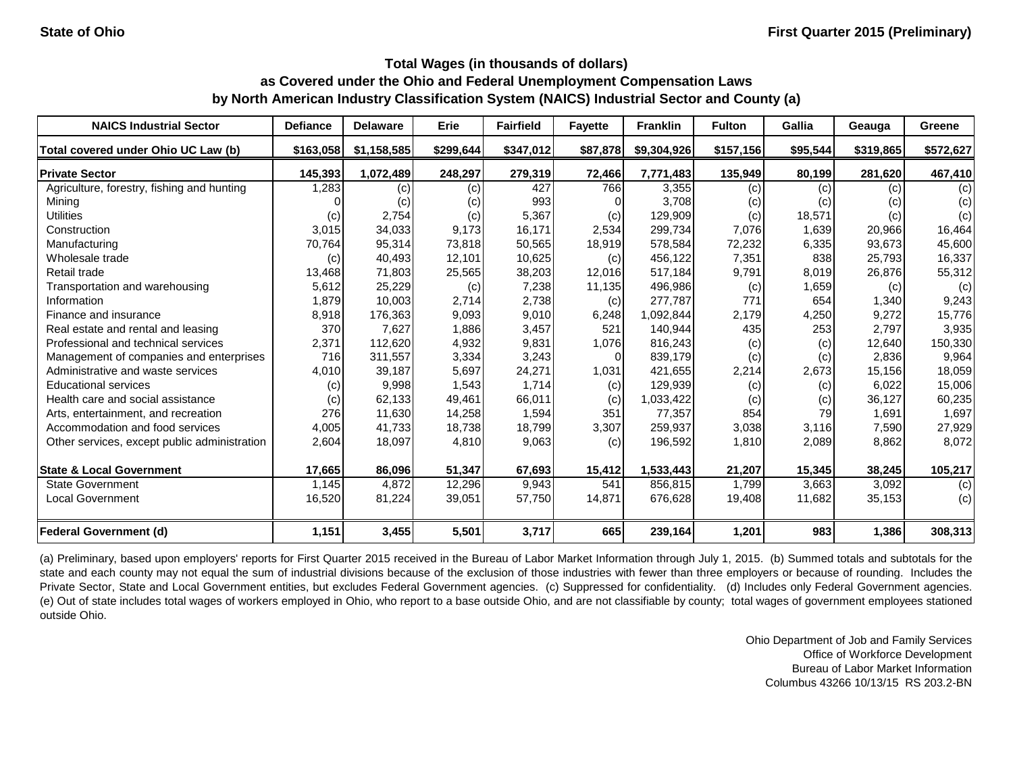| <b>NAICS Industrial Sector</b>               | <b>Defiance</b> | <b>Delaware</b> | Erie      | <b>Fairfield</b> | <b>Favette</b> | <b>Franklin</b> | <b>Fulton</b> | Gallia   | Geauga    | Greene    |
|----------------------------------------------|-----------------|-----------------|-----------|------------------|----------------|-----------------|---------------|----------|-----------|-----------|
| Total covered under Ohio UC Law (b)          | \$163,058       | \$1,158,585     | \$299,644 | \$347,012        | \$87,878       | \$9,304,926     | \$157,156     | \$95,544 | \$319,865 | \$572,627 |
| <b>Private Sector</b>                        | 145,393         | 1,072,489       | 248,297   | 279,319          | 72,466         | 7,771,483       | 135,949       | 80,199   | 281,620   | 467,410   |
| Agriculture, forestry, fishing and hunting   | 1,283           | (c)             | (c)       | 427              | 766            | 3,355           | (c)           | (c)      | (c)       | (c)       |
| Mining                                       |                 | (c)             | (c)       | 993              |                | 3,708           | (c)           | (c)      | (c)       | (c)       |
| <b>Utilities</b>                             | (c)             | 2,754           | (c)       | 5,367            | (c)            | 129,909         | (c)           | 18,571   | (c)       | (c)       |
| Construction                                 | 3,015           | 34,033          | 9,173     | 16,171           | 2,534          | 299,734         | 7,076         | 1,639    | 20,966    | 16,464    |
| Manufacturing                                | 70,764          | 95,314          | 73,818    | 50,565           | 18,919         | 578,584         | 72,232        | 6,335    | 93,673    | 45,600    |
| Wholesale trade                              | (c)             | 40,493          | 12,101    | 10,625           | (c)            | 456,122         | 7,351         | 838      | 25,793    | 16,337    |
| Retail trade                                 | 13,468          | 71,803          | 25,565    | 38,203           | 12,016         | 517,184         | 9,791         | 8,019    | 26,876    | 55,312    |
| Transportation and warehousing               | 5,612           | 25,229          | (c)       | 7,238            | 11,135         | 496,986         | (c)           | 1,659    | (c)       | (c)       |
| Information                                  | 1,879           | 10,003          | 2,714     | 2,738            | (c)            | 277,787         | 771           | 654      | 1,340     | 9,243     |
| Finance and insurance                        | 8,918           | 176,363         | 9,093     | 9,010            | 6,248          | 1,092,844       | 2,179         | 4,250    | 9,272     | 15,776    |
| Real estate and rental and leasing           | 370             | 7,627           | 1,886     | 3,457            | 521            | 140,944         | 435           | 253      | 2,797     | 3,935     |
| Professional and technical services          | 2,371           | 112.620         | 4,932     | 9.831            | 1,076          | 816,243         | (c)           | (c)      | 12,640    | 150,330   |
| Management of companies and enterprises      | 716             | 311,557         | 3,334     | 3,243            |                | 839,179         | (c)           | (c)      | 2,836     | 9,964     |
| Administrative and waste services            | 4,010           | 39.187          | 5,697     | 24,271           | 1,031          | 421,655         | 2,214         | 2,673    | 15.156    | 18,059    |
| <b>Educational services</b>                  | (c)             | 9,998           | 1,543     | 1,714            | (c)            | 129,939         | (c)           | (c)      | 6,022     | 15,006    |
| Health care and social assistance            | (c)             | 62,133          | 49,461    | 66,011           | (c)            | 1,033,422       | (c)           | (c)      | 36,127    | 60,235    |
| Arts, entertainment, and recreation          | 276             | 11,630          | 14,258    | 1,594            | 351            | 77,357          | 854           | 79       | 1,691     | 1,697     |
| Accommodation and food services              | 4,005           | 41,733          | 18,738    | 18,799           | 3,307          | 259,937         | 3,038         | 3,116    | 7,590     | 27,929    |
| Other services, except public administration | 2,604           | 18,097          | 4,810     | 9,063            | (c)            | 196,592         | 1,810         | 2,089    | 8,862     | 8,072     |
| <b>State &amp; Local Government</b>          | 17,665          | 86,096          | 51,347    | 67,693           | 15,412         | 1,533,443       | 21,207        | 15,345   | 38,245    | 105,217   |
| <b>State Government</b>                      | 1,145           | 4,872           | 12,296    | 9,943            | 541            | 856,815         | 1,799         | 3,663    | 3,092     | (c)       |
| <b>Local Government</b>                      | 16,520          | 81,224          | 39,051    | 57,750           | 14,871         | 676,628         | 19,408        | 11,682   | 35,153    | (c)       |
| <b>Federal Government (d)</b>                | 1,151           | 3,455           | 5,501     | 3,717            | 665            | 239,164         | 1,201         | 983      | 1,386     | 308,313   |

(a) Preliminary, based upon employers' reports for First Quarter 2015 received in the Bureau of Labor Market Information through July 1, 2015. (b) Summed totals and subtotals for the state and each county may not equal the sum of industrial divisions because of the exclusion of those industries with fewer than three employers or because of rounding. Includes the Private Sector, State and Local Government entities, but excludes Federal Government agencies. (c) Suppressed for confidentiality. (d) Includes only Federal Government agencies. (e) Out of state includes total wages of workers employed in Ohio, who report to a base outside Ohio, and are not classifiable by county; total wages of government employees stationed outside Ohio.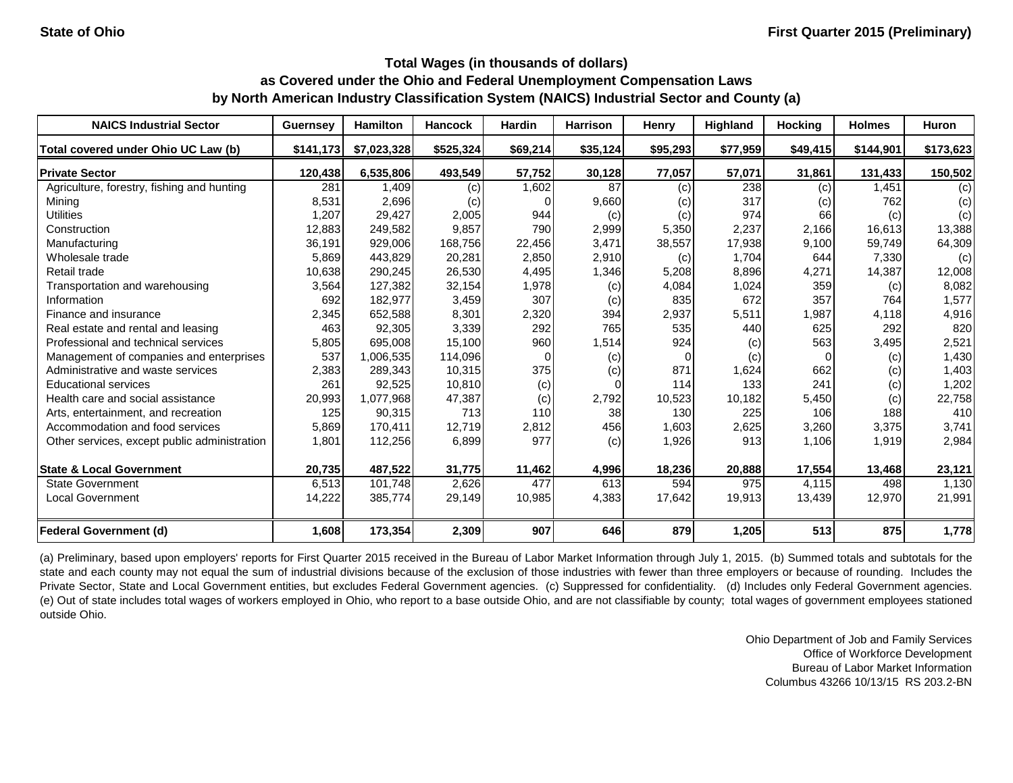| <b>NAICS Industrial Sector</b>               | <b>Guernsey</b> | <b>Hamilton</b> | <b>Hancock</b> | <b>Hardin</b> | <b>Harrison</b> | Henry    | <b>Highland</b> | <b>Hocking</b> | <b>Holmes</b> | <b>Huron</b> |
|----------------------------------------------|-----------------|-----------------|----------------|---------------|-----------------|----------|-----------------|----------------|---------------|--------------|
| Total covered under Ohio UC Law (b)          | \$141,173       | \$7,023,328     | \$525,324      | \$69,214      | \$35,124        | \$95,293 | \$77.959        | \$49,415       | \$144,901     | \$173,623    |
| <b>Private Sector</b>                        | 120,438         | 6,535,806       | 493,549        | 57,752        | 30,128          | 77,057   | 57,071          | 31,861         | 131,433       | 150,502      |
| Agriculture, forestry, fishing and hunting   | 281             | 1.409           | (c)            | 1,602         | 87              | (c)      | 238             | (c)            | 1,451         | (c)          |
| Minina                                       | 8,531           | 2,696           | (c)            |               | 9,660           | (c)      | 317             | (c)            | 762           | (c)          |
| <b>Utilities</b>                             | 1,207           | 29,427          | 2,005          | 944           | (c)             | (c)      | 974             | 66             | (c)           | (c)          |
| Construction                                 | 12,883          | 249.582         | 9,857          | 790           | 2,999           | 5,350    | 2,237           | 2,166          | 16,613        | 13,388       |
| Manufacturing                                | 36,191          | 929,006         | 168,756        | 22,456        | 3,471           | 38,557   | 17,938          | 9,100          | 59,749        | 64,309       |
| Wholesale trade                              | 5,869           | 443.829         | 20,281         | 2,850         | 2,910           | (c)      | 1.704           | 644            | 7,330         | (c)          |
| Retail trade                                 | 10,638          | 290,245         | 26,530         | 4,495         | 1,346           | 5,208    | 8,896           | 4,271          | 14,387        | 12,008       |
| Transportation and warehousing               | 3,564           | 127,382         | 32,154         | 1,978         | (c)             | 4,084    | 1,024           | 359            | (c)           | 8,082        |
| Information                                  | 692             | 182,977         | 3,459          | 307           | (c)             | 835      | 672             | 357            | 764           | 1,577        |
| Finance and insurance                        | 2,345           | 652,588         | 8,301          | 2,320         | 394             | 2,937    | 5,511           | 1,987          | 4,118         | 4,916        |
| Real estate and rental and leasing           | 463             | 92,305          | 3,339          | 292           | 765             | 535      | 440             | 625            | 292           | 820          |
| Professional and technical services          | 5,805           | 695,008         | 15,100         | 960           | 1,514           | 924      | (c)             | 563            | 3,495         | 2,521        |
| Management of companies and enterprises      | 537             | 1,006,535       | 114,096        | $\Omega$      | (c)             |          | (c)             | $\Omega$       | (c)           | 1,430        |
| Administrative and waste services            | 2,383           | 289,343         | 10,315         | 375           | (c)             | 871      | 1,624           | 662            | (c)           | 1,403        |
| <b>Educational services</b>                  | 261             | 92,525          | 10,810         | (c)           |                 | 114      | 133             | 241            | (c)           | 1,202        |
| Health care and social assistance            | 20,993          | 1,077,968       | 47,387         | (c)           | 2,792           | 10,523   | 10,182          | 5,450          | (c)           | 22,758       |
| Arts, entertainment, and recreation          | 125             | 90,315          | 713            | 110           | 38              | 130      | 225             | 106            | 188           | 410          |
| Accommodation and food services              | 5,869           | 170,411         | 12,719         | 2,812         | 456             | 1,603    | 2,625           | 3,260          | 3,375         | 3,741        |
| Other services, except public administration | 1,801           | 112,256         | 6,899          | 977           | (c)             | 1,926    | 913             | 1,106          | 1,919         | 2,984        |
| <b>State &amp; Local Government</b>          | 20,735          | 487,522         | 31,775         | 11,462        | 4,996           | 18,236   | 20,888          | 17,554         | 13,468        | 23,121       |
| State Government                             | 6,513           | 101,748         | 2,626          | 477           | 613             | 594      | 975             | 4,115          | 498           | 1,130        |
| <b>Local Government</b>                      | 14,222          | 385,774         | 29,149         | 10,985        | 4,383           | 17,642   | 19,913          | 13,439         | 12,970        | 21,991       |
| <b>Federal Government (d)</b>                | 1,608           | 173,354         | 2,309          | 907           | 646             | 879      | 1,205           | 513            | 875           | 1,778        |

(a) Preliminary, based upon employers' reports for First Quarter 2015 received in the Bureau of Labor Market Information through July 1, 2015. (b) Summed totals and subtotals for the state and each county may not equal the sum of industrial divisions because of the exclusion of those industries with fewer than three employers or because of rounding. Includes the Private Sector, State and Local Government entities, but excludes Federal Government agencies. (c) Suppressed for confidentiality. (d) Includes only Federal Government agencies. (e) Out of state includes total wages of workers employed in Ohio, who report to a base outside Ohio, and are not classifiable by county; total wages of government employees stationed outside Ohio.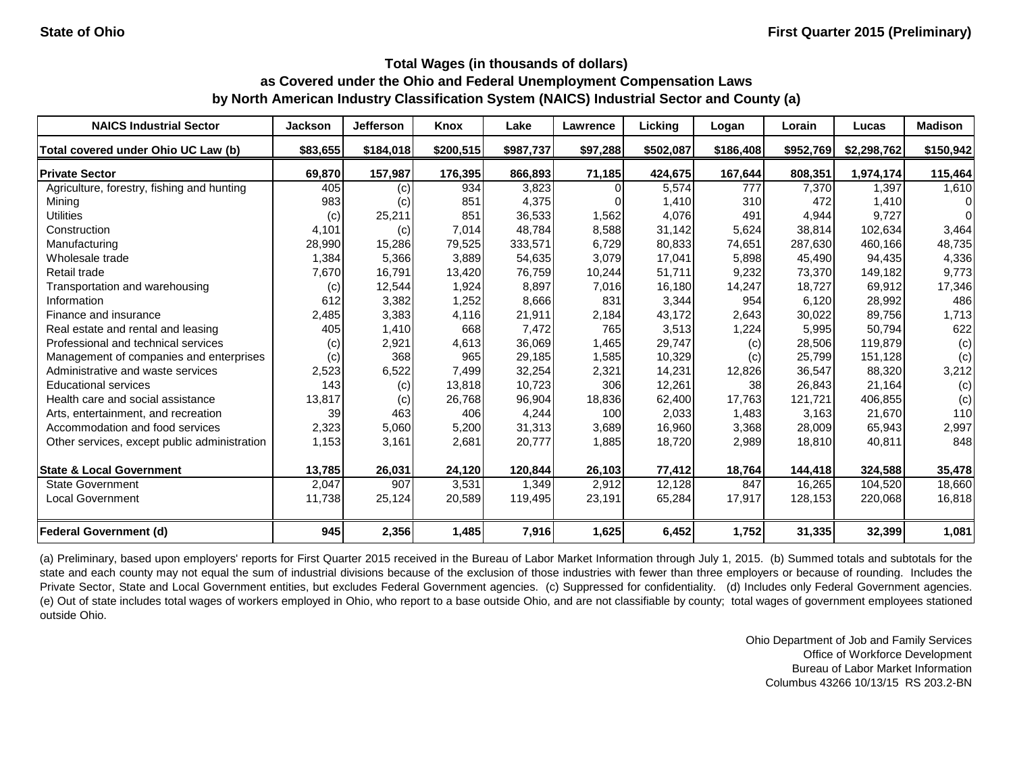| <b>NAICS Industrial Sector</b>               | <b>Jackson</b> | <b>Jefferson</b> | Knox      | Lake      | <b>Lawrence</b> | Licking   | Logan     | Lorain    | Lucas       | <b>Madison</b> |
|----------------------------------------------|----------------|------------------|-----------|-----------|-----------------|-----------|-----------|-----------|-------------|----------------|
| Total covered under Ohio UC Law (b)          | \$83,655       | \$184,018        | \$200,515 | \$987,737 | \$97,288        | \$502,087 | \$186,408 | \$952,769 | \$2,298,762 | \$150,942      |
| <b>Private Sector</b>                        | 69,870         | 157,987          | 176,395   | 866,893   | 71,185          | 424,675   | 167,644   | 808,351   | 1,974,174   | 115,464        |
| Agriculture, forestry, fishing and hunting   | 405            | (c)              | 934       | 3,823     |                 | 5,574     | 777       | 7,370     | 1.397       | 1,610          |
| Mining                                       | 983            | (c)              | 851       | 4,375     |                 | 1,410     | 310       | 472       | 1.410       | $\Omega$       |
| <b>Utilities</b>                             | (c)            | 25,211           | 851       | 36,533    | 1,562           | 4,076     | 491       | 4,944     | 9,727       | $\Omega$       |
| Construction                                 | 4,101          | (c)              | 7,014     | 48.784    | 8,588           | 31,142    | 5,624     | 38,814    | 102.634     | 3,464          |
| Manufacturing                                | 28,990         | 15,286           | 79,525    | 333,571   | 6,729           | 80,833    | 74,651    | 287,630   | 460,166     | 48,735         |
| Wholesale trade                              | 1,384          | 5,366            | 3,889     | 54,635    | 3,079           | 17,041    | 5,898     | 45,490    | 94,435      | 4,336          |
| Retail trade                                 | 7,670          | 16,791           | 13,420    | 76,759    | 10,244          | 51,711    | 9,232     | 73,370    | 149,182     | 9,773          |
| Transportation and warehousing               | (c)            | 12,544           | 1,924     | 8,897     | 7,016           | 16,180    | 14,247    | 18,727    | 69,912      | 17,346         |
| Information                                  | 612            | 3,382            | 1,252     | 8,666     | 831             | 3,344     | 954       | 6,120     | 28,992      | 486            |
| Finance and insurance                        | 2,485          | 3,383            | 4,116     | 21,911    | 2,184           | 43,172    | 2,643     | 30,022    | 89,756      | 1,713          |
| Real estate and rental and leasing           | 405            | 1,410            | 668       | 7,472     | 765             | 3,513     | 1,224     | 5,995     | 50,794      | 622            |
| Professional and technical services          | (c)            | 2,921            | 4,613     | 36.069    | 1,465           | 29,747    | (c)       | 28.506    | 119.879     | (c)            |
| Management of companies and enterprises      | (c)            | 368              | 965       | 29,185    | 1,585           | 10,329    | (c)       | 25,799    | 151,128     | (c)            |
| Administrative and waste services            | 2,523          | 6,522            | 7,499     | 32,254    | 2,321           | 14,231    | 12,826    | 36,547    | 88,320      | 3,212          |
| <b>Educational services</b>                  | 143            | (c)              | 13,818    | 10,723    | 306             | 12,261    | 38        | 26,843    | 21,164      | (c)            |
| Health care and social assistance            | 13,817         | (c)              | 26,768    | 96,904    | 18,836          | 62,400    | 17,763    | 121,721   | 406,855     | (c)            |
| Arts, entertainment, and recreation          | 39             | 463              | 406       | 4,244     | 100             | 2,033     | 1,483     | 3,163     | 21,670      | 110            |
| Accommodation and food services              | 2,323          | 5,060            | 5,200     | 31,313    | 3,689           | 16,960    | 3,368     | 28,009    | 65,943      | 2,997          |
| Other services, except public administration | 1,153          | 3,161            | 2,681     | 20,777    | 1,885           | 18,720    | 2,989     | 18,810    | 40,811      | 848            |
| <b>State &amp; Local Government</b>          | 13,785         | 26,031           | 24,120    | 120,844   | 26,103          | 77,412    | 18,764    | 144,418   | 324,588     | 35,478         |
| <b>State Government</b>                      | 2,047          | 907              | 3,531     | 1,349     | 2,912           | 12,128    | 847       | 16,265    | 104,520     | 18,660         |
| <b>Local Government</b>                      | 11,738         | 25,124           | 20,589    | 119,495   | 23,191          | 65,284    | 17,917    | 128,153   | 220,068     | 16,818         |
| <b>Federal Government (d)</b>                | 945            | 2,356            | 1,485     | 7,916     | 1,625           | 6,452     | 1,752     | 31,335    | 32,399      | 1,081          |

(a) Preliminary, based upon employers' reports for First Quarter 2015 received in the Bureau of Labor Market Information through July 1, 2015. (b) Summed totals and subtotals for the state and each county may not equal the sum of industrial divisions because of the exclusion of those industries with fewer than three employers or because of rounding. Includes the Private Sector, State and Local Government entities, but excludes Federal Government agencies. (c) Suppressed for confidentiality. (d) Includes only Federal Government agencies. (e) Out of state includes total wages of workers employed in Ohio, who report to a base outside Ohio, and are not classifiable by county; total wages of government employees stationed outside Ohio.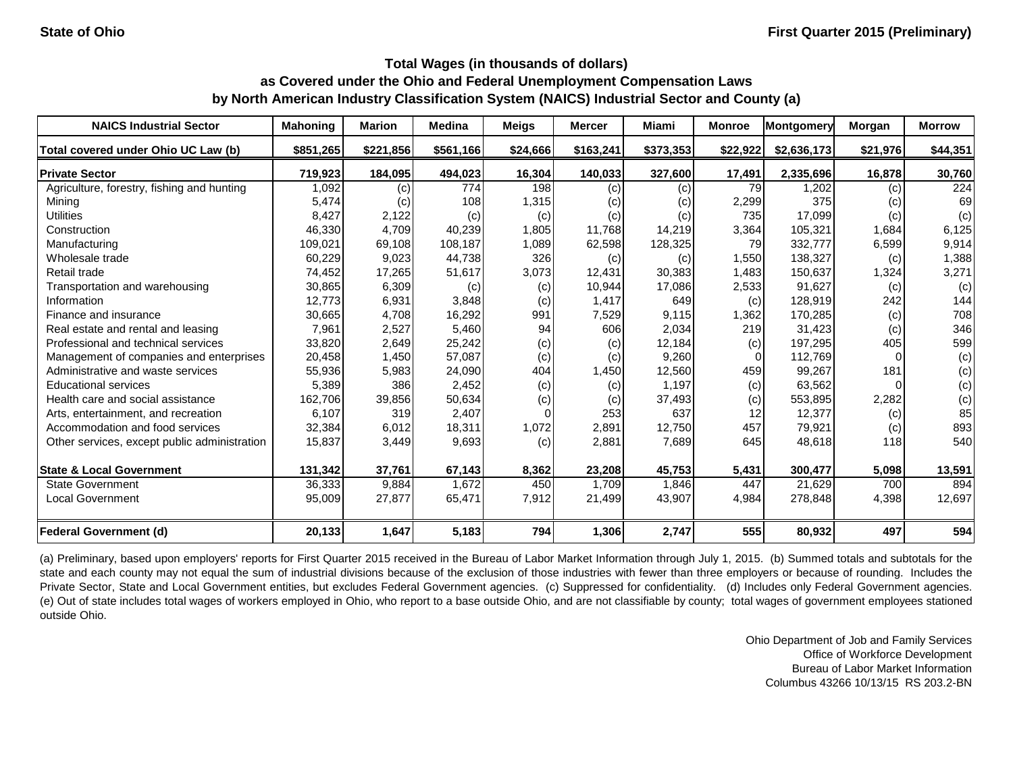| <b>NAICS Industrial Sector</b>               | <b>Mahoning</b> | <b>Marion</b> | <b>Medina</b> | <b>Meigs</b> | <b>Mercer</b> | Miami     | <b>Monroe</b> | <b>Montgomery</b> | Morgan   | <b>Morrow</b> |
|----------------------------------------------|-----------------|---------------|---------------|--------------|---------------|-----------|---------------|-------------------|----------|---------------|
| Total covered under Ohio UC Law (b)          | \$851,265       | \$221,856     | \$561,166     | \$24,666     | \$163,241     | \$373,353 | \$22,922      | \$2,636,173       | \$21,976 | \$44,351      |
| <b>Private Sector</b>                        | 719,923         | 184,095       | 494,023       | 16,304       | 140,033       | 327,600   | 17,491        | 2,335,696         | 16,878   | 30,760        |
| Agriculture, forestry, fishing and hunting   | 1,092           | (c)           | 774           | 198          | (c)           | (c)       | 79            | 1,202             | (c)      | 224           |
| Mining                                       | 5,474           | (c)           | 108           | 1,315        | (c)           | (c)       | 2,299         | 375               | (c)      | 69            |
| <b>Utilities</b>                             | 8,427           | 2,122         | (c)           | (c)          | (c)           | (c)       | 735           | 17,099            | (c)      | (c)           |
| Construction                                 | 46,330          | 4,709         | 40,239        | 1,805        | 11,768        | 14,219    | 3,364         | 105,321           | 1,684    | 6,125         |
| Manufacturing                                | 109,021         | 69,108        | 108,187       | 1,089        | 62,598        | 128,325   | 79            | 332,777           | 6,599    | 9,914         |
| Wholesale trade                              | 60,229          | 9,023         | 44,738        | 326          | (c)           | (c)       | 1,550         | 138,327           | (c)      | 1,388         |
| Retail trade                                 | 74,452          | 17,265        | 51,617        | 3,073        | 12,431        | 30,383    | 1,483         | 150,637           | 1,324    | 3,271         |
| Transportation and warehousing               | 30,865          | 6,309         | (c)           | (c)          | 10,944        | 17,086    | 2,533         | 91,627            | (c)      | (c)           |
| Information                                  | 12,773          | 6,931         | 3,848         | (c)          | 1,417         | 649       | (c)           | 128,919           | 242      | 144           |
| Finance and insurance                        | 30,665          | 4.708         | 16,292        | 991          | 7,529         | 9,115     | 1,362         | 170,285           | (c)      | 708           |
| Real estate and rental and leasing           | 7,961           | 2,527         | 5,460         | 94           | 606           | 2,034     | 219           | 31,423            | (c)      | 346           |
| Professional and technical services          | 33,820          | 2,649         | 25,242        | (c)          | (c)           | 12,184    | (c)           | 197,295           | 405      | 599           |
| Management of companies and enterprises      | 20,458          | 1,450         | 57,087        | (c)          | (c)           | 9,260     | $\Omega$      | 112,769           |          | (c)           |
| Administrative and waste services            | 55,936          | 5,983         | 24,090        | 404          | 1,450         | 12,560    | 459           | 99,267            | 181      | (c)           |
| <b>Educational services</b>                  | 5,389           | 386           | 2,452         | (c)          | (c)           | 1,197     | (c)           | 63,562            |          | (c)           |
| Health care and social assistance            | 162,706         | 39,856        | 50,634        | (c)          | (c)           | 37,493    | (c)           | 553,895           | 2,282    | (c)           |
| Arts, entertainment, and recreation          | 6,107           | 319           | 2,407         |              | 253           | 637       | 12            | 12,377            | (c)      | 85            |
| Accommodation and food services              | 32,384          | 6,012         | 18,311        | 1,072        | 2,891         | 12,750    | 457           | 79,921            | (c)      | 893           |
| Other services, except public administration | 15,837          | 3,449         | 9,693         | (c)          | 2,881         | 7,689     | 645           | 48,618            | 118      | 540           |
| <b>State &amp; Local Government</b>          | 131,342         | 37,761        | 67,143        | 8,362        | 23,208        | 45,753    | 5,431         | 300,477           | 5,098    | 13,591        |
| <b>State Government</b>                      | 36,333          | 9,884         | 1,672         | 450          | 1,709         | 1,846     | 447           | 21,629            | 700      | 894           |
| <b>Local Government</b>                      | 95,009          | 27,877        | 65,471        | 7,912        | 21,499        | 43,907    | 4,984         | 278,848           | 4,398    | 12,697        |
| <b>Federal Government (d)</b>                | 20,133          | 1,647         | 5,183         | 794          | 1,306         | 2,747     | 555           | 80,932            | 497      | 594           |

(a) Preliminary, based upon employers' reports for First Quarter 2015 received in the Bureau of Labor Market Information through July 1, 2015. (b) Summed totals and subtotals for the state and each county may not equal the sum of industrial divisions because of the exclusion of those industries with fewer than three employers or because of rounding. Includes the Private Sector, State and Local Government entities, but excludes Federal Government agencies. (c) Suppressed for confidentiality. (d) Includes only Federal Government agencies. (e) Out of state includes total wages of workers employed in Ohio, who report to a base outside Ohio, and are not classifiable by county; total wages of government employees stationed outside Ohio.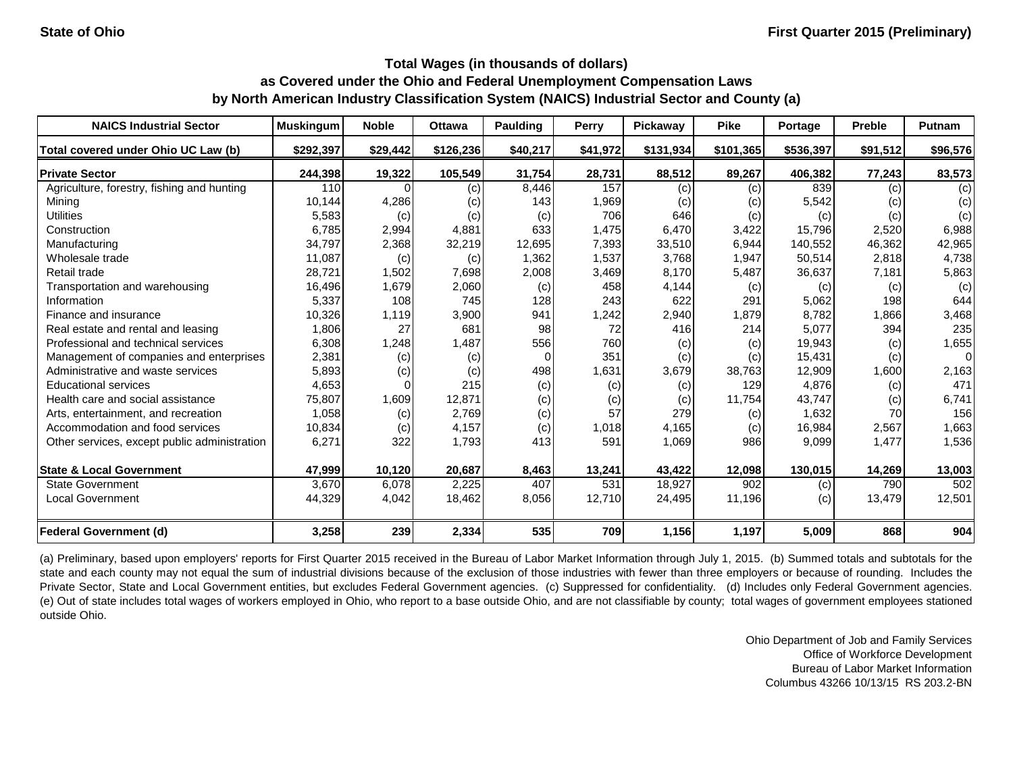| <b>NAICS Industrial Sector</b>               | <b>Muskingum</b> | <b>Noble</b> | <b>Ottawa</b> | <b>Paulding</b> | Perry    | Pickaway  | <b>Pike</b> | Portage   | <b>Preble</b> | Putnam   |
|----------------------------------------------|------------------|--------------|---------------|-----------------|----------|-----------|-------------|-----------|---------------|----------|
| Total covered under Ohio UC Law (b)          | \$292,397        | \$29,442     | \$126,236     | \$40,217        | \$41,972 | \$131,934 | \$101,365   | \$536,397 | \$91,512      | \$96,576 |
| <b>Private Sector</b>                        | 244,398          | 19,322       | 105,549       | 31,754          | 28,731   | 88,512    | 89,267      | 406,382   | 77,243        | 83,573   |
| Agriculture, forestry, fishing and hunting   | 110              |              | (c)           | 8.446           | 157      | (c)       | (c)         | 839       | (c)           | (c)      |
| Mining                                       | 10,144           | 4,286        | (c)           | 143             | 1,969    | (c)       | (c)         | 5,542     | (c)           | (c)      |
| <b>Utilities</b>                             | 5,583            | (c)          | (c)           | (c)             | 706      | 646       | (c)         | (c)       | (c)           | (c)      |
| Construction                                 | 6,785            | 2,994        | 4,881         | 633             | 1,475    | 6,470     | 3,422       | 15,796    | 2,520         | 6,988    |
| Manufacturing                                | 34,797           | 2,368        | 32,219        | 12,695          | 7,393    | 33,510    | 6,944       | 140,552   | 46,362        | 42,965   |
| Wholesale trade                              | 11,087           | (c)          | (c)           | 1,362           | 1,537    | 3,768     | 1,947       | 50,514    | 2,818         | 4,738    |
| Retail trade                                 | 28,721           | 1,502        | 7,698         | 2,008           | 3,469    | 8,170     | 5,487       | 36,637    | 7,181         | 5,863    |
| Transportation and warehousing               | 16,496           | 1,679        | 2,060         | (c)             | 458      | 4,144     | (c)         | (c)       | (c)           | (c)      |
| Information                                  | 5,337            | 108          | 745           | 128             | 243      | 622       | 291         | 5,062     | 198           | 644      |
| Finance and insurance                        | 10,326           | 1,119        | 3,900         | 941             | 1,242    | 2,940     | 1.879       | 8.782     | 1,866         | 3,468    |
| Real estate and rental and leasing           | 1,806            | 27           | 681           | 98              | 72       | 416       | 214         | 5,077     | 394           | 235      |
| Professional and technical services          | 6,308            | 1,248        | 1,487         | 556             | 760      | (c)       | (c)         | 19,943    | (c)           | 1,655    |
| Management of companies and enterprises      | 2,381            | (c)          | (c)           | $\Omega$        | 351      | (c)       | (c)         | 15,431    | (c)           | 0        |
| Administrative and waste services            | 5,893            | (c)          | (c)           | 498             | 1,631    | 3,679     | 38,763      | 12,909    | 1,600         | 2,163    |
| <b>Educational services</b>                  | 4,653            |              | 215           | (c)             | (c)      | (c)       | 129         | 4,876     | (c)           | 471      |
| Health care and social assistance            | 75,807           | 1,609        | 12,871        | (c)             | (c)      | (c)       | 11,754      | 43,747    | (c)           | 6,741    |
| Arts, entertainment, and recreation          | 1,058            | (c)          | 2,769         | (c)             | 57       | 279       | (c)         | 1,632     | 70            | 156      |
| Accommodation and food services              | 10,834           | (c)          | 4,157         | (c)             | 1,018    | 4,165     | (c)         | 16,984    | 2,567         | 1,663    |
| Other services, except public administration | 6,271            | 322          | 1,793         | 413             | 591      | 1,069     | 986         | 9,099     | 1,477         | 1,536    |
| <b>State &amp; Local Government</b>          | 47,999           | 10,120       | 20,687        | 8,463           | 13,241   | 43,422    | 12,098      | 130,015   | 14,269        | 13,003   |
| <b>State Government</b>                      | 3,670            | 6,078        | 2,225         | 407             | 531      | 18,927    | 902         | (c)       | 790           | 502      |
| <b>Local Government</b>                      | 44,329           | 4,042        | 18,462        | 8,056           | 12,710   | 24,495    | 11,196      | (c)       | 13,479        | 12,501   |
| <b>Federal Government (d)</b>                | 3,258            | 239          | 2,334         | 535             | 709      | 1,156     | 1,197       | 5,009     | 868           | 904      |

(a) Preliminary, based upon employers' reports for First Quarter 2015 received in the Bureau of Labor Market Information through July 1, 2015. (b) Summed totals and subtotals for the state and each county may not equal the sum of industrial divisions because of the exclusion of those industries with fewer than three employers or because of rounding. Includes the Private Sector, State and Local Government entities, but excludes Federal Government agencies. (c) Suppressed for confidentiality. (d) Includes only Federal Government agencies. (e) Out of state includes total wages of workers employed in Ohio, who report to a base outside Ohio, and are not classifiable by county; total wages of government employees stationed outside Ohio.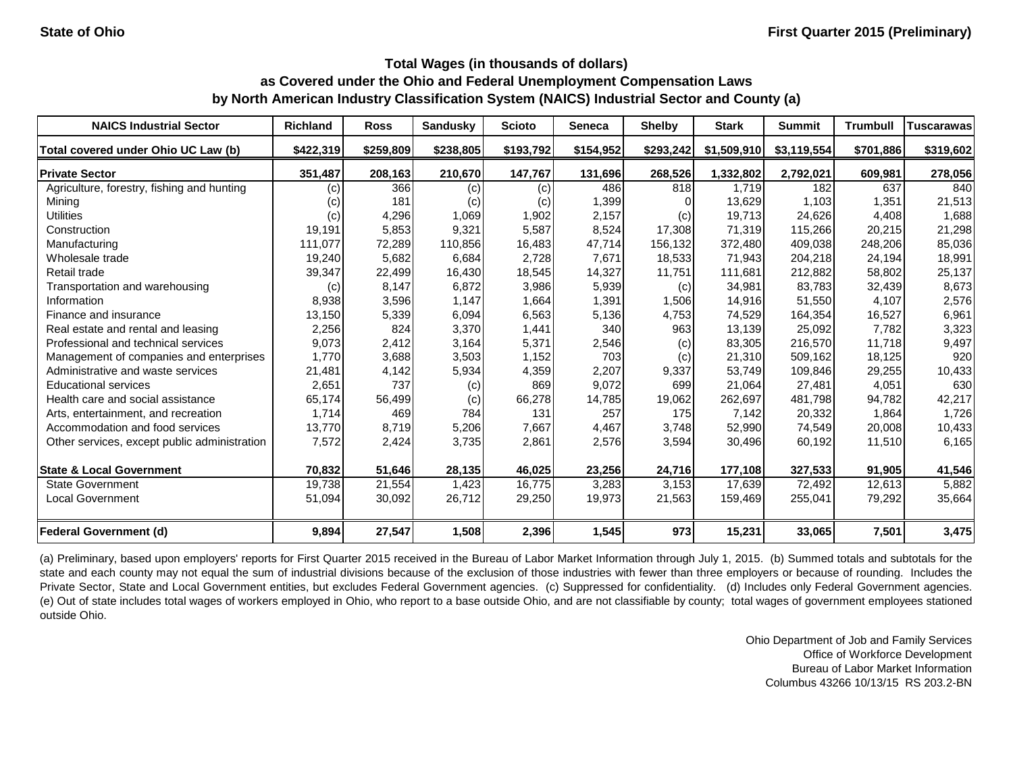| <b>NAICS Industrial Sector</b>               | <b>Richland</b> | <b>Ross</b> | <b>Sandusky</b> | <b>Scioto</b> | Seneca    | <b>Shelby</b> | <b>Stark</b> | <b>Summit</b> | <b>Trumbull</b> | Tuscarawasl |
|----------------------------------------------|-----------------|-------------|-----------------|---------------|-----------|---------------|--------------|---------------|-----------------|-------------|
| Total covered under Ohio UC Law (b)          | \$422,319       | \$259,809   | \$238,805       | \$193,792     | \$154,952 | \$293,242     | \$1,509,910  | \$3,119,554   | \$701,886       | \$319,602   |
| <b>Private Sector</b>                        | 351,487         | 208,163     | 210,670         | 147,767       | 131,696   | 268,526       | 1,332,802    | 2,792,021     | 609,981         | 278,056     |
| Agriculture, forestry, fishing and hunting   | (c)             | 366         | (c)             | (c)           | 486       | 818           | 1.719        | 182           | 637             | 840         |
| Mining                                       | (c)             | 181         | (c)             | (c)           | 1,399     |               | 13,629       | 1,103         | 1,351           | 21,513      |
| <b>Utilities</b>                             | (c)             | 4,296       | 1,069           | 1,902         | 2,157     | (c)           | 19,713       | 24,626        | 4,408           | 1,688       |
| Construction                                 | 19,191          | 5,853       | 9,321           | 5,587         | 8,524     | 17,308        | 71,319       | 115,266       | 20,215          | 21,298      |
| Manufacturing                                | 111,077         | 72,289      | 110,856         | 16,483        | 47,714    | 156,132       | 372,480      | 409.038       | 248,206         | 85,036      |
| Wholesale trade                              | 19,240          | 5,682       | 6,684           | 2,728         | 7,671     | 18,533        | 71,943       | 204,218       | 24,194          | 18,991      |
| Retail trade                                 | 39,347          | 22,499      | 16,430          | 18,545        | 14,327    | 11,751        | 111,681      | 212,882       | 58,802          | 25,137      |
| Transportation and warehousing               | (c)             | 8,147       | 6,872           | 3,986         | 5,939     | (c)           | 34,981       | 83,783        | 32,439          | 8,673       |
| Information                                  | 8,938           | 3,596       | 1,147           | 1,664         | 1,391     | 1,506         | 14,916       | 51,550        | 4,107           | 2,576       |
| Finance and insurance                        | 13,150          | 5,339       | 6,094           | 6,563         | 5,136     | 4,753         | 74,529       | 164,354       | 16,527          | 6,961       |
| Real estate and rental and leasing           | 2,256           | 824         | 3,370           | 1,441         | 340       | 963           | 13,139       | 25,092        | 7,782           | 3,323       |
| Professional and technical services          | 9,073           | 2,412       | 3,164           | 5,371         | 2,546     | (c)           | 83,305       | 216,570       | 11.718          | 9,497       |
| Management of companies and enterprises      | 1,770           | 3,688       | 3,503           | 1,152         | 703       | (c)           | 21,310       | 509,162       | 18,125          | 920         |
| Administrative and waste services            | 21,481          | 4,142       | 5,934           | 4,359         | 2,207     | 9,337         | 53,749       | 109,846       | 29,255          | 10,433      |
| <b>Educational services</b>                  | 2,651           | 737         | (c)             | 869           | 9,072     | 699           | 21,064       | 27,481        | 4,051           | 630         |
| Health care and social assistance            | 65,174          | 56,499      | (c)             | 66,278        | 14,785    | 19,062        | 262,697      | 481,798       | 94,782          | 42,217      |
| Arts, entertainment, and recreation          | 1,714           | 469         | 784             | 131           | 257       | 175           | 7,142        | 20,332        | 1,864           | 1,726       |
| Accommodation and food services              | 13,770          | 8,719       | 5,206           | 7,667         | 4,467     | 3,748         | 52,990       | 74,549        | 20,008          | 10,433      |
| Other services, except public administration | 7,572           | 2,424       | 3,735           | 2,861         | 2,576     | 3,594         | 30,496       | 60,192        | 11,510          | 6,165       |
| <b>State &amp; Local Government</b>          | 70,832          | 51,646      | 28,135          | 46,025        | 23,256    | 24,716        | 177,108      | 327,533       | 91,905          | 41,546      |
| <b>State Government</b>                      | 19,738          | 21,554      | 1,423           | 16,775        | 3,283     | 3,153         | 17,639       | 72,492        | 12,613          | 5,882       |
| <b>Local Government</b>                      | 51,094          | 30,092      | 26,712          | 29,250        | 19,973    | 21,563        | 159,469      | 255,041       | 79,292          | 35,664      |
| <b>Federal Government (d)</b>                | 9,894           | 27,547      | 1,508           | 2,396         | 1,545     | 973           | 15,231       | 33,065        | 7,501           | 3,475       |

(a) Preliminary, based upon employers' reports for First Quarter 2015 received in the Bureau of Labor Market Information through July 1, 2015. (b) Summed totals and subtotals for the state and each county may not equal the sum of industrial divisions because of the exclusion of those industries with fewer than three employers or because of rounding. Includes the Private Sector, State and Local Government entities, but excludes Federal Government agencies. (c) Suppressed for confidentiality. (d) Includes only Federal Government agencies. (e) Out of state includes total wages of workers employed in Ohio, who report to a base outside Ohio, and are not classifiable by county; total wages of government employees stationed outside Ohio.